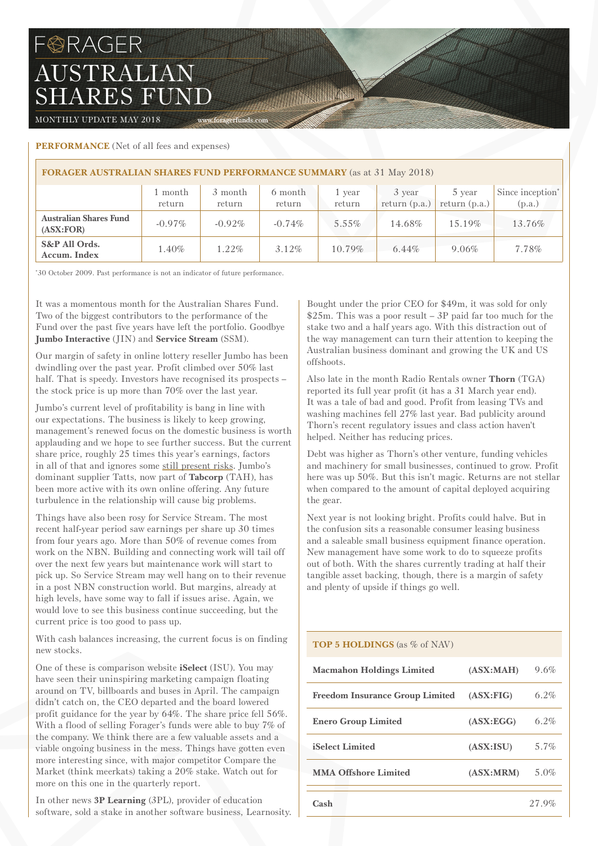# **BRAGER** AUSTRALIAN SHARES FUND

MONTHLY UPDATE MAY 2018 WWW.foragerfunds.com

## **PERFORMANCE** (Net of all fees and expenses)

| <b>FORAGER AUSTRALIAN SHARES FUND PERFORMANCE SUMMARY</b> (as at 31 May 2018) |                   |                   |                   |                  |                           |                           |                                        |  |
|-------------------------------------------------------------------------------|-------------------|-------------------|-------------------|------------------|---------------------------|---------------------------|----------------------------------------|--|
|                                                                               | 1 month<br>return | 3 month<br>return | 6 month<br>return | 1 year<br>return | 3 year<br>return $(p.a.)$ | 5 year<br>return $(p.a.)$ | Since inception <sup>*</sup><br>(p.a.) |  |
| <b>Australian Shares Fund</b><br>(ASK:FOR)                                    | $-0.97\%$         | $-0.92\%$         | $-0.74\%$         | $5.55\%$         | 14.68%                    | 15.19%                    | 13.76%                                 |  |
| S&P All Ords.<br>Accum. Index                                                 | 1.40%             | $1.22\%$          | $3.12\%$          | $10.79\%$        | $6.44\%$                  | $9.06\%$                  | 7.78%                                  |  |

The Company of the Company of the Company of

\* 30 October 2009. Past performance is not an indicator of future performance.

It was a momentous month for the Australian Shares Fund. Two of the biggest contributors to the performance of the Fund over the past five years have left the portfolio. Goodbye **Jumbo Interactive** (JIN) and **Service Stream** (SSM).

Our margin of safety in online lottery reseller Jumbo has been dwindling over the past year. Profit climbed over 50% last half. That is speedy. Investors have recognised its prospects – the stock price is up more than 70% over the last year.

Jumbo's current level of profitability is bang in line with our expectations. The business is likely to keep growing, management's renewed focus on the domestic business is worth applauding and we hope to see further success. But the current share price, roughly 25 times this year's earnings, factors in all of that and ignores some [still present risks](https://foragerfunds.com/news/jumbo-risks-all-but-forgotten/). Jumbo's dominant supplier Tatts, now part of **Tabcorp** (TAH), has been more active with its own online offering. Any future turbulence in the relationship will cause big problems.

Things have also been rosy for Service Stream. The most recent half-year period saw earnings per share up 30 times from four years ago. More than 50% of revenue comes from work on the NBN. Building and connecting work will tail off over the next few years but maintenance work will start to pick up. So Service Stream may well hang on to their revenue in a post NBN construction world. But margins, already at high levels, have some way to fall if issues arise. Again, we would love to see this business continue succeeding, but the current price is too good to pass up.

With cash balances increasing, the current focus is on finding new stocks.

One of these is comparison website **iSelect** (ISU). You may have seen their uninspiring marketing campaign floating around on TV, billboards and buses in April. The campaign didn't catch on, the CEO departed and the board lowered profit guidance for the year by 64%. The share price fell 56%. With a flood of selling Forager's funds were able to buy 7% of the company. We think there are a few valuable assets and a viable ongoing business in the mess. Things have gotten even more interesting since, with major competitor Compare the Market (think meerkats) taking a 20% stake. Watch out for more on this one in the quarterly report.

In other news **3P Learning** (3PL), provider of education software, sold a stake in another software business, Learnosity. Bought under the prior CEO for \$49m, it was sold for only \$25m. This was a poor result – 3P paid far too much for the stake two and a half years ago. With this distraction out of the way management can turn their attention to keeping the Australian business dominant and growing the UK and US offshoots.

Also late in the month Radio Rentals owner **Thorn** (TGA) reported its full year profit (it has a 31 March year end). It was a tale of bad and good. Profit from leasing TVs and washing machines fell 27% last year. Bad publicity around Thorn's recent regulatory issues and class action haven't helped. Neither has reducing prices.

Debt was higher as Thorn's other venture, funding vehicles and machinery for small businesses, continued to grow. Profit here was up 50%. But this isn't magic. Returns are not stellar when compared to the amount of capital deployed acquiring the gear.

Next year is not looking bright. Profits could halve. But in the confusion sits a reasonable consumer leasing business and a saleable small business equipment finance operation. New management have some work to do to squeeze profits out of both. With the shares currently trading at half their tangible asset backing, though, there is a margin of safety and plenty of upside if things go well.

## **TOP 5 HOLDINGS** (as % of NAV)

| <b>Macmahon Holdings Limited</b>       | (ASK:MAH)  | 9.6%    |
|----------------------------------------|------------|---------|
| <b>Freedom Insurance Group Limited</b> | (ASK:FIG)  | $6.2\%$ |
| <b>Enero Group Limited</b>             | (ASK:EGG)  | $6.2\%$ |
| <b>iSelect Limited</b>                 | (ASX:ISU)  | $5.7\%$ |
| <b>MMA Offshore Limited</b>            | (ASK: MRM) | 5.0%    |
| Cash                                   |            | 27.9%   |